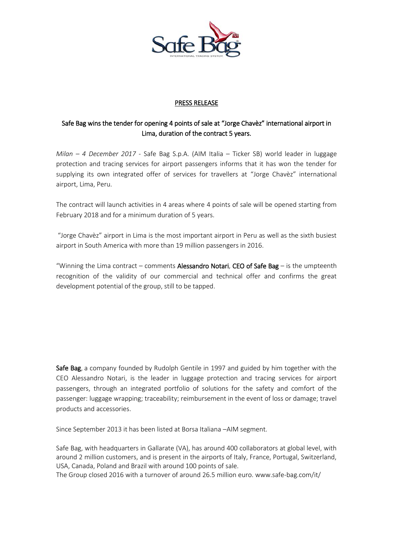

## PRESS RELEASE

## Safe Bag wins the tender for opening 4 points of sale at "Jorge Chavèz" international airport in Lima, duration of the contract 5 years.

*Milan – 4 December 2017* - Safe Bag S.p.A. (AIM Italia – Ticker SB) world leader in luggage protection and tracing services for airport passengers informs that it has won the tender for supplying its own integrated offer of services for travellers at "Jorge Chavèz" international airport, Lima, Peru.

The contract will launch activities in 4 areas where 4 points of sale will be opened starting from February 2018 and for a minimum duration of 5 years.

"Jorge Chavèz" airport in Lima is the most important airport in Peru as well as the sixth busiest airport in South America with more than 19 million passengers in 2016.

"Winning the Lima contract – comments Alessandro Notari, CEO of Safe Bag – is the umpteenth recognition of the validity of our commercial and technical offer and confirms the great development potential of the group, still to be tapped.

Safe Bag, a company founded by Rudolph Gentile in 1997 and guided by him together with the CEO Alessandro Notari, is the leader in luggage protection and tracing services for airport passengers, through an integrated portfolio of solutions for the safety and comfort of the passenger: luggage wrapping; traceability; reimbursement in the event of loss or damage; travel products and accessories.

Since September 2013 it has been listed at Borsa Italiana –AIM segment.

Safe Bag, with headquarters in Gallarate (VA), has around 400 collaborators at global level, with around 2 million customers, and is present in the airports of Italy, France, Portugal, Switzerland, USA, Canada, Poland and Brazil with around 100 points of sale.

The Group closed 2016 with a turnover of around 26.5 million euro[. www.safe-bag.com/it/](http://www.safe-bag.com/it/)